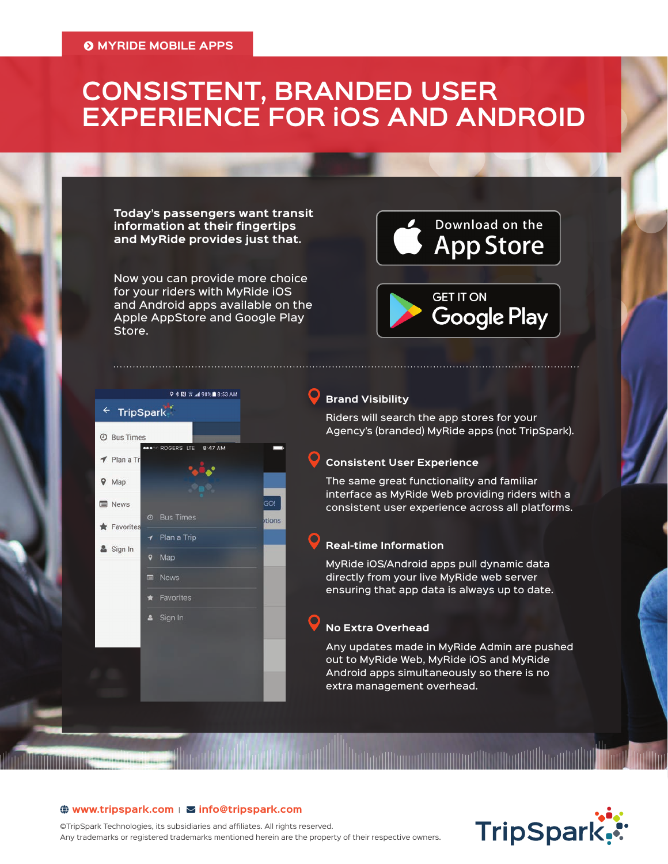# **CONSISTENT, BRANDED USER EXPERIENCE FOR iOS AND ANDROID**

**Today's passengers want transit information at their fingertips and MyRide provides just that.** 

Now you can provide more choice for your riders with MyRide iOS and Android apps available on the Apple AppStore and Google Play Store.

**9 米間 W 4 98%自8:53 AM** 

8:47 AM

GO! ions

← TripSpark

**O** Bus Times

 $\blacktriangleleft$  Plan a Tr

 $Q$  Map

**News** 

Favorites

Sign In

 $\blacktriangleleft$  Plan a Trip

 $Q$  Map **News**  $\star$  Favorites & Sign In



# **Brand Visibility**

Riders will search the app stores for your Agency's (branded) MyRide apps (not TripSpark).

#### **Consistent User Experience**

The same great functionality and familiar interface as MyRide Web providing riders with a consistent user experience across all platforms.

#### **Real-time Information**

MyRide iOS/Android apps pull dynamic data directly from your live MyRide web server ensuring that app data is always up to date.

# **No Extra Overhead**

Any updates made in MyRide Admin are pushed out to MyRide Web, MyRide iOS and MyRide Android apps simultaneously so there is no extra management overhead.

#### **(\*) www.tripspark.com** | ⊠ info@tripspark.com

©TripSpark Technologies, its subsidiaries and affiliates. All rights reserved. Any trademarks or registered trademarks mentioned herein are the property of their respective owners.